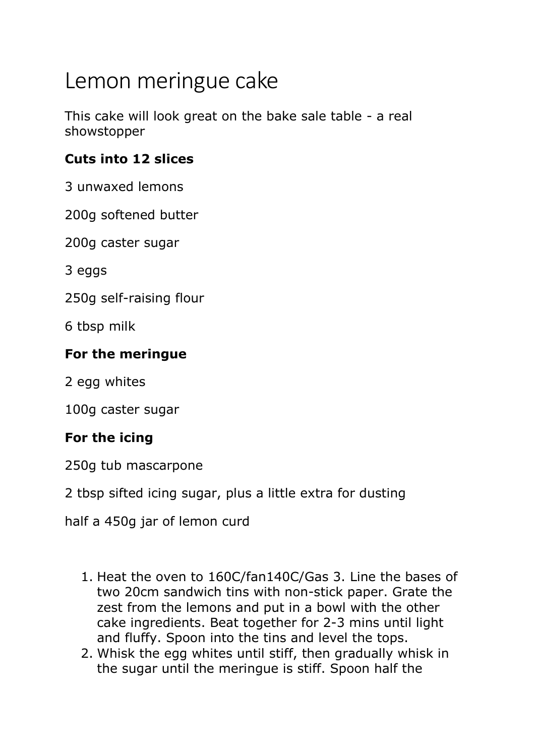## Lemon meringue cake

This cake will look great on the bake sale table - a real showstopper

## **Cuts into 12 slices**

3 unwaxed lemons

200g softened butter

200g caster sugar

3 eggs

250g self-raising flour

6 tbsp milk

## **For the meringue**

2 egg whites

100g caster sugar

## **For the icing**

250g tub mascarpone

2 tbsp sifted icing sugar, plus a little extra for dusting

half a 450g jar of lemon curd

- 1. Heat the oven to 160C/fan140C/Gas 3. Line the bases of two 20cm sandwich tins with non-stick paper. Grate the zest from the lemons and put in a bowl with the other cake ingredients. Beat together for 2-3 mins until light and fluffy. Spoon into the tins and level the tops.
- 2. Whisk the egg whites until stiff, then gradually whisk in the sugar until the meringue is stiff. Spoon half the